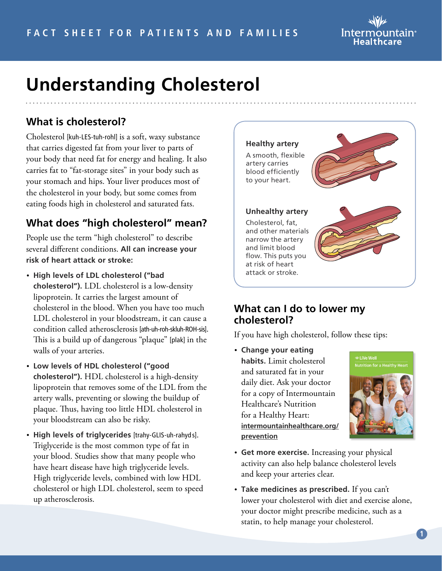

# **Understanding Cholesterol**

## **What is cholesterol?**

Cholesterol [kuh-LES-tuh-rohl] is a soft, waxy substance that carries digested fat from your liver to parts of your body that need fat for energy and healing. It also carries fat to "fat-storage sites" in your body such as your stomach and hips. Your liver produces most of the cholesterol in your body, but some comes from eating foods high in cholesterol and saturated fats.

### **What does "high cholesterol" mean?**

People use the term "high cholesterol" to describe several different conditions. **All can increase your risk of heart attack or stroke:**

- **High levels of LDL cholesterol ("bad cholesterol").** LDL cholesterol is a low-density lipoprotein. It carries the largest amount of cholesterol in the blood. When you have too much LDL cholesterol in your bloodstream, it can cause a condition called atherosclerosis [ath-uh-roh-skluh-ROH-sis]. This is a build up of dangerous "plaque" [plak] in the walls of your arteries.
- **Low levels of HDL cholesterol ("good cholesterol").** HDL cholesterol is a high-density lipoprotein that removes some of the LDL from the artery walls, preventing or slowing the buildup of plaque. Thus, having too little HDL cholesterol in your bloodstream can also be risky.
- **High levels of triglycerides** [trahy-GLIS-uh-rahyd s]. Triglyceride is the most common type of fat in your blood. Studies show that many people who have heart disease have high triglyceride levels. High triglyceride levels, combined with low HDL cholesterol or high LDL cholesterol, seem to speed up atherosclerosis.



#### **What can I do to lower my cholesterol?**

If you have high cholesterol, follow these tips:

• **Change your eating habits.** Limit cholesterol and saturated fat in your daily diet. Ask your doctor for a copy of Intermountain Healthcare's Nutrition for a Healthy Heart: **[intermountainhealthcare.org/](http://intermountainhealthcare.org/prevention) [prevention](http://intermountainhealthcare.org/prevention)**



- **Get more exercise.** Increasing your physical activity can also help balance cholesterol levels and keep your arteries clear.
- **Take medicines as prescribed.** If you can't lower your cholesterol with diet and exercise alone, your doctor might prescribe medicine, such as a statin, to help manage your cholesterol.